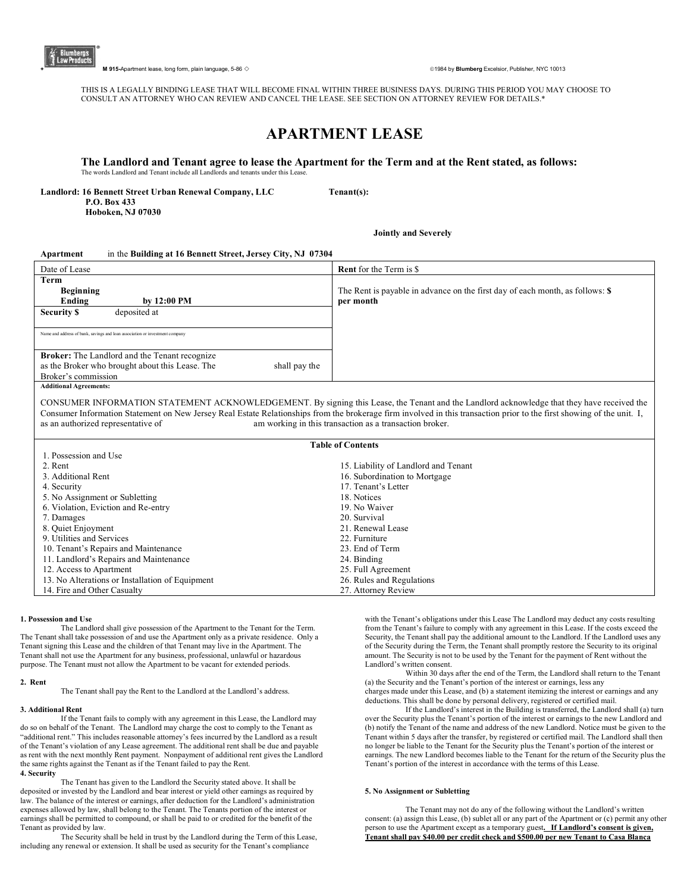

**+** 915-Apartment lease, long form, plain language, 5-86 ◇ **and the set of a set of a set of a set of a** and the set of the set of the set of the set of the set of the set of the set of the set of the set of the set of th

THIS IS A LEGALLY BINDING LEASE THAT WILL BECOME FINAL WITHIN THREE BUSINESS DAYS. DURING THIS PERIOD YOU MAY CHOOSE TO CONSULT AN ATTORNEY WHO CAN REVIEW AND CANCEL THE LEASE. SEE SECTION ON ATTORNEY REVIEW FOR DETAILS.\*

# **APARTMENT LEASE**

## **The Landlord and Tenant agree to lease the Apartment for the Term and at the Rent stated, as follows:** The words Landlord and Tenant include all Landlords and tenants under this Lease.

**Landlord: 16 Bennett Street Urban Renewal Company, LLC Tenant(s):** 

 **P.O. Box 433 Hoboken, NJ 07030** 

 **Jointly and Severely** 

# **Apartment** in the **Building at 16 Bennett Street, Jersey City, NJ 07304**

| Date of Lease                                                                | <b>Rent</b> for the Term is \$                                                |
|------------------------------------------------------------------------------|-------------------------------------------------------------------------------|
| Term                                                                         |                                                                               |
| <b>Beginning</b>                                                             | The Rent is payable in advance on the first day of each month, as follows: \$ |
| Ending<br>by $12:00$ PM                                                      | per month                                                                     |
| deposited at<br><b>Security \$</b>                                           |                                                                               |
|                                                                              |                                                                               |
| Name and address of bank, savings and loan association or investment company |                                                                               |
|                                                                              |                                                                               |
| <b>Broker:</b> The Landlord and the Tenant recognize                         |                                                                               |
| as the Broker who brought about this Lease. The<br>shall pay the             |                                                                               |
| Broker's commission                                                          |                                                                               |
| <b>Additional Agreements:</b>                                                |                                                                               |

CONSUMER INFORMATION STATEMENT ACKNOWLEDGEMENT. By signing this Lease, the Tenant and the Landlord acknowledge that they have received the Consumer Information Statement on New Jersey Real Estate Relationships from the brokerage firm involved in this transaction prior to the first showing of the unit. I, am working in this transaction as a transaction broker.

| <b>Table of Contents</b>                        |                                      |
|-------------------------------------------------|--------------------------------------|
| 1. Possession and Use                           |                                      |
| 2. Rent                                         | 15. Liability of Landlord and Tenant |
| 3. Additional Rent                              | 16. Subordination to Mortgage        |
| 4. Security                                     | 17. Tenant's Letter                  |
| 5. No Assignment or Subletting                  | 18. Notices                          |
| 6. Violation, Eviction and Re-entry             | 19. No Waiver                        |
| 7. Damages                                      | 20. Survival                         |
| 8. Quiet Enjoyment                              | 21. Renewal Lease                    |
| 9. Utilities and Services                       | 22. Furniture                        |
| 10. Tenant's Repairs and Maintenance            | 23. End of Term                      |
| 11. Landlord's Repairs and Maintenance          | 24. Binding                          |
| 12. Access to Apartment                         | 25. Full Agreement                   |
| 13. No Alterations or Installation of Equipment | 26. Rules and Regulations            |
| 14. Fire and Other Casualty                     | 27. Attorney Review                  |

# **1. Possession and Use**

The Landlord shall give possession of the Apartment to the Tenant for the Term. The Tenant shall take possession of and use the Apartment only as a private residence. Only a Tenant signing this Lease and the children of that Tenant may live in the Apartment. The Tenant shall not use the Apartment for any business, professional, unlawful or hazardous purpose. The Tenant must not allow the Apartment to be vacant for extended periods.

#### **2. Rent**

The Tenant shall pay the Rent to the Landlord at the Landlord's address.

#### **3. Additional Rent**

If the Tenant fails to comply with any agreement in this Lease, the Landlord may do so on behalf of the Tenant. The Landlord may charge the cost to comply to the Tenant as "additional rent." This includes reasonable attorney's fees incurred by the Landlord as a result of the Tenant's violation of any Lease agreement. The additional rent shall be due and payable as rent with the next monthly Rent payment. Nonpayment of additional rent gives the Landlord the same rights against the Tenant as if the Tenant failed to pay the Rent. **4. Security** 

The Tenant has given to the Landlord the Security stated above. It shall be deposited or invested by the Landlord and bear interest or yield other earnings as required by law. The balance of the interest or earnings, after deduction for the Landlord's administration expenses allowed by law, shall belong to the Tenant. The Tenants portion of the interest or earnings shall be permitted to compound, or shall be paid to or credited for the benefit of the Tenant as provided by law.

The Security shall be held in trust by the Landlord during the Term of this Lease, including any renewal or extension. It shall be used as security for the Tenant's compliance

with the Tenant's obligations under this Lease The Landlord may deduct any costs resulting from the Tenant's failure to comply with any agreement in this Lease. If the costs exceed the Security, the Tenant shall pay the additional amount to the Landlord. If the Landlord uses any of the Security during the Term, the Tenant shall promptly restore the Security to its original amount. The Security is not to be used by the Tenant for the payment of Rent without the Landlord's written consent.

Within 30 days after the end of the Term, the Landlord shall return to the Tenant (a) the Security and the Tenant's portion of the interest or earnings, less any charges made under this Lease, and (b) a statement itemizing the interest or earnings and any deductions. This shall be done by personal delivery, registered or certified mail.

If the Landlord's interest in the Building is transferred, the Landlord shall (a) turn over the Security plus the Tenant's portion of the interest or earnings to the new Landlord and (b) notify the Tenant of the name and address of the new Landlord. Notice must be given to the Tenant within 5 days after the transfer, by registered or certified mail. The Landlord shall then no longer be liable to the Tenant for the Security plus the Tenant's portion of the interest or earnings. The new Landlord becomes liable to the Tenant for the return of the Security plus the Tenant's portion of the interest in accordance with the terms of this Lease.

# **5. No Assignment or Subletting**

The Tenant may not do any of the following without the Landlord's written consent: (a) assign this Lease, (b) sublet all or any part of the Apartment or (c) permit any other person to use the Apartment except as a temporary guest**. If Landlord's consent is given, Tenant shall pay \$40.00 per credit check and \$500.00 per new Tenant to Casa Blanca**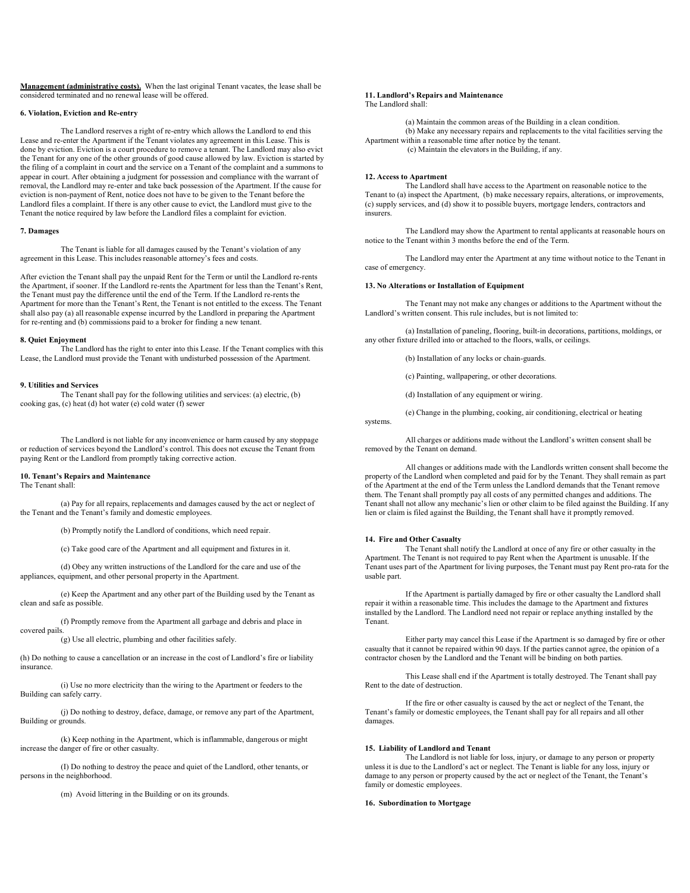**Management (administrative costs).** When the last original Tenant vacates, the lease shall be considered terminated and no renewal lease will be offered.

## **6. Violation, Eviction and Re-entry**

The Landlord reserves a right of re-entry which allows the Landlord to end this Lease and re-enter the Apartment if the Tenant violates any agreement in this Lease. This is done by eviction. Eviction is a court procedure to remove a tenant. The Landlord may also evict the Tenant for any one of the other grounds of good cause allowed by law. Eviction is started by the filing of a complaint in court and the service on a Tenant of the complaint and a summons to appear in court. After obtaining a judgment for possession and compliance with the warrant of removal, the Landlord may re-enter and take back possession of the Apartment. If the cause for eviction is non-payment of Rent, notice does not have to be given to the Tenant before the Landlord files a complaint. If there is any other cause to evict, the Landlord must give to the Tenant the notice required by law before the Landlord files a complaint for eviction.

#### **7. Damages**

The Tenant is liable for all damages caused by the Tenant's violation of any agreement in this Lease. This includes reasonable attorney's fees and costs.

After eviction the Tenant shall pay the unpaid Rent for the Term or until the Landlord re-rents the Apartment, if sooner. If the Landlord re-rents the Apartment for less than the Tenant's Rent, the Tenant must pay the difference until the end of the Term. If the Landlord re-rents the Apartment for more than the Tenant's Rent, the Tenant is not entitled to the excess. The Tenant shall also pay (a) all reasonable expense incurred by the Landlord in preparing the Apartment for re-renting and (b) commissions paid to a broker for finding a new tenant.

#### **8. Quiet Enjoyment**

The Landlord has the right to enter into this Lease. If the Tenant complies with this Lease, the Landlord must provide the Tenant with undisturbed possession of the Apartment.

#### **9. Utilities and Services**

The Tenant shall pay for the following utilities and services: (a) electric, (b) cooking gas, (c) heat (d) hot water (e) cold water (f) sewer

The Landlord is not liable for any inconvenience or harm caused by any stoppage or reduction of services beyond the Landlord's control. This does not excuse the Tenant from paying Rent or the Landlord from promptly taking corrective action.

# **10. Tenant's Repairs and Maintenance**

The Tenant shall:

(a) Pay for all repairs, replacements and damages caused by the act or neglect of the Tenant and the Tenant's family and domestic employees.

(b) Promptly notify the Landlord of conditions, which need repair.

(c) Take good care of the Apartment and all equipment and fixtures in it.

(d) Obey any written instructions of the Landlord for the care and use of the appliances, equipment, and other personal property in the Apartment.

(e) Keep the Apartment and any other part of the Building used by the Tenant as clean and safe as possible.

(f) Promptly remove from the Apartment all garbage and debris and place in covered pails.

(g) Use all electric, plumbing and other facilities safely.

(h) Do nothing to cause a cancellation or an increase in the cost of Landlord's fire or liability insurance.

(i) Use no more electricity than the wiring to the Apartment or feeders to the Building can safely carry.

(j) Do nothing to destroy, deface, damage, or remove any part of the Apartment, Building or grounds.

(k) Keep nothing in the Apartment, which is inflammable, dangerous or might increase the danger of fire or other casualty.

(I) Do nothing to destroy the peace and quiet of the Landlord, other tenants, or persons in the neighborhood.

(m) Avoid littering in the Building or on its grounds.

#### **11. Landlord's Repairs and Maintenance**

The Landlord shall:

(a) Maintain the common areas of the Building in a clean condition. (b) Make any necessary repairs and replacements to the vital facilities serving the Apartment within a reasonable time after notice by the tenant. (c) Maintain the elevators in the Building, if any.

#### **12. Access to Apartment**

The Landlord shall have access to the Apartment on reasonable notice to the Tenant to (a) inspect the Apartment, (b) make necessary repairs, alterations, or improvements, (c) supply services, and (d) show it to possible buyers, mortgage lenders, contractors and insurers.

The Landlord may show the Apartment to rental applicants at reasonable hours on notice to the Tenant within 3 months before the end of the Term.

The Landlord may enter the Apartment at any time without notice to the Tenant in case of emergency.

#### **13. No Alterations or Installation of Equipment**

The Tenant may not make any changes or additions to the Apartment without the Landlord's written consent. This rule includes, but is not limited to:

(a) Installation of paneling, flooring, built-in decorations, partitions, moldings, or any other fixture drilled into or attached to the floors, walls, or ceilings.

(b) Installation of any locks or chain-guards.

(c) Painting, wallpapering, or other decorations.

(d) Installation of any equipment or wiring.

(e) Change in the plumbing, cooking, air conditioning, electrical or heating systems.

All charges or additions made without the Landlord's written consent shall be removed by the Tenant on demand.

All changes or additions made with the Landlords written consent shall become the property of the Landlord when completed and paid for by the Tenant. They shall remain as part of the Apartment at the end of the Term unless the Landlord demands that the Tenant remove them. The Tenant shall promptly pay all costs of any permitted changes and additions. The Tenant shall not allow any mechanic's lien or other claim to be filed against the Building. If any lien or claim is filed against the Building, the Tenant shall have it promptly removed.

## **14. Fire and Other Casualty**

The Tenant shall notify the Landlord at once of any fire or other casualty in the Apartment. The Tenant is not required to pay Rent when the Apartment is unusable. If the Tenant uses part of the Apartment for living purposes, the Tenant must pay Rent pro-rata for the usable part.

If the Apartment is partially damaged by fire or other casualty the Landlord shall repair it within a reasonable time. This includes the damage to the Apartment and fixtures installed by the Landlord. The Landlord need not repair or replace anything installed by the Tenant.

Either party may cancel this Lease if the Apartment is so damaged by fire or other casualty that it cannot be repaired within 90 days. If the parties cannot agree, the opinion of a contractor chosen by the Landlord and the Tenant will be binding on both parties.

This Lease shall end if the Apartment is totally destroyed. The Tenant shall pay Rent to the date of destruction.

If the fire or other casualty is caused by the act or neglect of the Tenant, the Tenant's family or domestic employees, the Tenant shall pay for all repairs and all other damages.

# **15. Liability of Landlord and Tenant**

The Landlord is not liable for loss, injury, or damage to any person or property unless it is due to the Landlord's act or neglect. The Tenant is liable for any loss, injury or damage to any person or property caused by the act or neglect of the Tenant, the Tenant's family or domestic employees.

## **16. Subordination to Mortgage**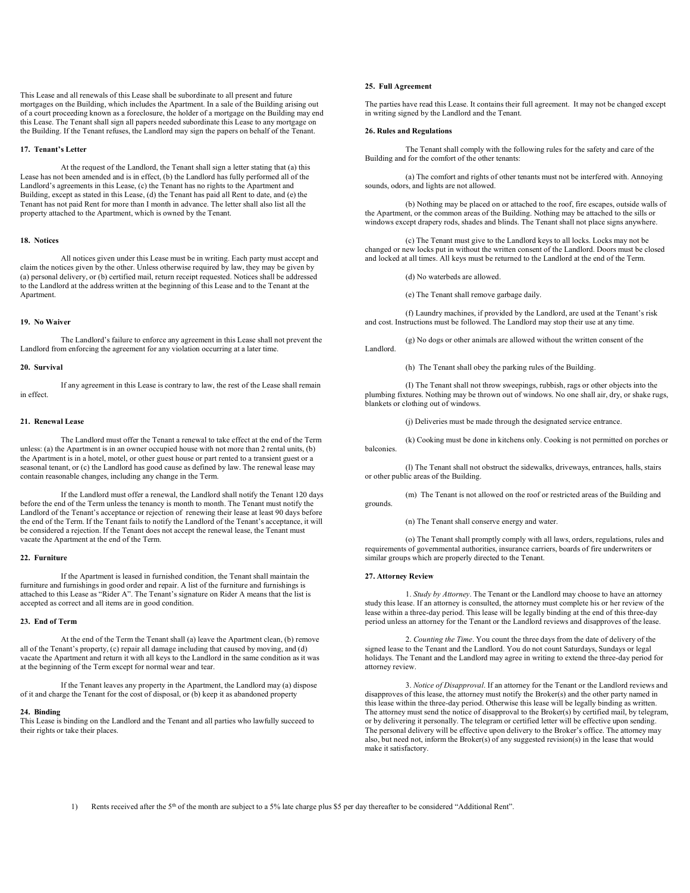This Lease and all renewals of this Lease shall be subordinate to all present and future mortgages on the Building, which includes the Apartment. In a sale of the Building arising out of a court proceeding known as a foreclosure, the holder of a mortgage on the Building may end this Lease. The Tenant shall sign all papers needed subordinate this Lease to any mortgage on the Building. If the Tenant refuses, the Landlord may sign the papers on behalf of the Tenant.

# **17. Tenant's Letter**

At the request of the Landlord, the Tenant shall sign a letter stating that (a) this Lease has not been amended and is in effect, (b) the Landlord has fully performed all of the Landlord's agreements in this Lease, (c) the Tenant has no rights to the Apartment and Building, except as stated in this Lease, (d) the Tenant has paid all Rent to date, and (e) the Tenant has not paid Rent for more than I month in advance. The letter shall also list all the property attached to the Apartment, which is owned by the Tenant.

#### **18. Notices**

All notices given under this Lease must be in writing. Each party must accept and claim the notices given by the other. Unless otherwise required by law, they may be given by (a) personal delivery, or (b) certified mail, return receipt requested. Notices shall be addressed to the Landlord at the address written at the beginning of this Lease and to the Tenant at the Apartment.

## **19. No Waiver**

The Landlord's failure to enforce any agreement in this Lease shall not prevent the Landlord from enforcing the agreement for any violation occurring at a later time.

# **20. Survival**

If any agreement in this Lease is contrary to law, the rest of the Lease shall remain in effect.

#### **21. Renewal Lease**

The Landlord must offer the Tenant a renewal to take effect at the end of the Term unless: (a) the Apartment is in an owner occupied house with not more than 2 rental units, (b) the Apartment is in a hotel, motel, or other guest house or part rented to a transient guest or a seasonal tenant, or (c) the Landlord has good cause as defined by law. The renewal lease may contain reasonable changes, including any change in the Term.

If the Landlord must offer a renewal, the Landlord shall notify the Tenant 120 days before the end of the Term unless the tenancy is month to month. The Tenant must notify the Landlord of the Tenant's acceptance or rejection of renewing their lease at least 90 days before the end of the Term. If the Tenant fails to notify the Landlord of the Tenant's acceptance, it will be considered a rejection. If the Tenant does not accept the renewal lease, the Tenant must vacate the Apartment at the end of the Term.

#### **22. Furniture**

If the Apartment is leased in furnished condition, the Tenant shall maintain the furniture and furnishings in good order and repair. A list of the furniture and furnishings is attached to this Lease as "Rider A". The Tenant's signature on Rider A means that the list is accepted as correct and all items are in good condition.

## **23. End of Term**

At the end of the Term the Tenant shall (a) leave the Apartment clean, (b) remove all of the Tenant's property, (c) repair all damage including that caused by moving, and (d) vacate the Apartment and return it with all keys to the Landlord in the same condition as it was at the beginning of the Term except for normal wear and tear.

If the Tenant leaves any property in the Apartment, the Landlord may (a) dispose of it and charge the Tenant for the cost of disposal, or (b) keep it as abandoned property

# **24. Binding**

This Lease is binding on the Landlord and the Tenant and all parties who lawfully succeed to their rights or take their places.

## **25. Full Agreement**

The parties have read this Lease. It contains their full agreement. It may not be changed except in writing signed by the Landlord and the Tenant.

#### **26. Rules and Regulations**

The Tenant shall comply with the following rules for the safety and care of the Building and for the comfort of the other tenants:

(a) The comfort and rights of other tenants must not be interfered with. Annoying sounds, odors, and lights are not allowed.

(b) Nothing may be placed on or attached to the roof, fire escapes, outside walls of the Apartment, or the common areas of the Building. Nothing may be attached to the sills or windows except drapery rods, shades and blinds. The Tenant shall not place signs anywhere.

(c) The Tenant must give to the Landlord keys to all locks. Locks may not be changed or new locks put in without the written consent of the Landlord. Doors must be closed and locked at all times. All keys must be returned to the Landlord at the end of the Term.

(d) No waterbeds are allowed.

(e) The Tenant shall remove garbage daily.

(f) Laundry machines, if provided by the Landlord, are used at the Tenant's risk and cost. Instructions must be followed. The Landlord may stop their use at any time.

(g) No dogs or other animals are allowed without the written consent of the Landlord.

(h) The Tenant shall obey the parking rules of the Building.

(I) The Tenant shall not throw sweepings, rubbish, rags or other objects into the plumbing fixtures. Nothing may be thrown out of windows. No one shall air, dry, or shake rugs, blankets or clothing out of windows.

(j) Deliveries must be made through the designated service entrance.

(k) Cooking must be done in kitchens only. Cooking is not permitted on porches or balconies.

(l) The Tenant shall not obstruct the sidewalks, driveways, entrances, halls, stairs or other public areas of the Building.

(m) The Tenant is not allowed on the roof or restricted areas of the Building and grounds.

(n) The Tenant shall conserve energy and water.

(o) The Tenant shall promptly comply with all laws, orders, regulations, rules and requirements of governmental authorities, insurance carriers, boards of fire underwriters or similar groups which are properly directed to the Tenant.

# **27. Attorney Review**

1. *Study by Attorney*. The Tenant or the Landlord may choose to have an attorney study this lease. If an attorney is consulted, the attorney must complete his or her review of the lease within a three-day period. This lease will be legally binding at the end of this three-day period unless an attorney for the Tenant or the Landlord reviews and disapproves of the lease.

2. *Counting the Time*. You count the three days from the date of delivery of the signed lease to the Tenant and the Landlord. You do not count Saturdays, Sundays or legal holidays. The Tenant and the Landlord may agree in writing to extend the three-day period for attorney review.

3. *Notice of Disapproval*. If an attorney for the Tenant or the Landlord reviews and disapproves of this lease, the attorney must notify the Broker(s) and the other party named in this lease within the three-day period. Otherwise this lease will be legally binding as written. The attorney must send the notice of disapproval to the Broker(s) by certified mail, by telegram, or by delivering it personally. The telegram or certified letter will be effective upon sending. The personal delivery will be effective upon delivery to the Broker's office. The attorney may also, but need not, inform the Broker(s) of any suggested revision(s) in the lease that would make it satisfactory.

Rents received after the 5<sup>th</sup> of the month are subject to a 5% late charge plus \$5 per day thereafter to be considered "Additional Rent".